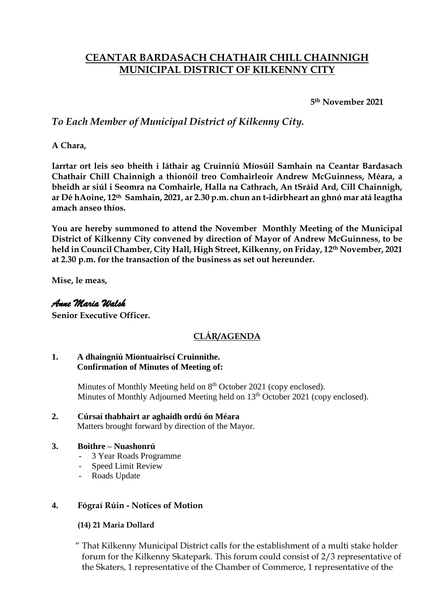# **CEANTAR BARDASACH CHATHAIR CHILL CHAINNIGH MUNICIPAL DISTRICT OF KILKENNY CITY**

**5th November 2021**

## *To Each Member of Municipal District of Kilkenny City.*

**A Chara,**

**Iarrtar ort leis seo bheith i láthair ag Cruinniú Míosúil Samhain na Ceantar Bardasach Chathair Chill Chainnigh a thionóil treo Comhairleoir Andrew McGuinness, Méara, a bheidh ar siúl i Seomra na Comhairle, Halla na Cathrach, An tSráid Ard, Cill Chainnigh, ar Dé hAoine, 12th Samhain, 2021, ar 2.30 p.m. chun an t-idirbheart an ghnó mar atá leagtha amach anseo thíos.**

**You are hereby summoned to attend the November Monthly Meeting of the Municipal District of Kilkenny City convened by direction of Mayor of Andrew McGuinness, to be held in Council Chamber, City Hall, High Street, Kilkenny, on Friday, 12th November, 2021 at 2.30 p.m. for the transaction of the business as set out hereunder.**

**Mise, le meas,**

### *Anne Maria Walsh*

**Senior Executive Officer.**

## **CLÁR/AGENDA**

#### **1. A dhaingniú Miontuairiscí Cruinnithe. Confirmation of Minutes of Meeting of:**

Minutes of Monthly Meeting held on 8<sup>th</sup> October 2021 (copy enclosed). Minutes of Monthly Adjourned Meeting held on 13<sup>th</sup> October 2021 (copy enclosed).

**2. Cúrsaí thabhairt ar aghaidh ordú ón Méara** Matters brought forward by direction of the Mayor.

#### **3. Boithre – Nuashonrú**

- 3 Year Roads Programme
- Speed Limit Review
- Roads Update

#### **4. Fógraí Rúin - Notices of Motion**

#### **(14) 21 Maria Dollard**

 " That Kilkenny Municipal District calls for the establishment of a multi stake holder forum for the Kilkenny Skatepark. This forum could consist of 2/3 representative of the Skaters, 1 representative of the Chamber of Commerce, 1 representative of the